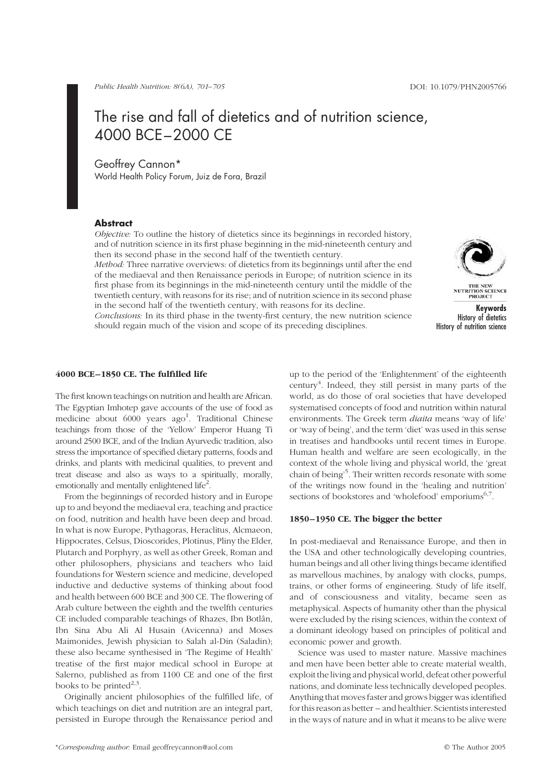# The rise and fall of dietetics and of nutrition science, 4000 BCE–2000 CE

Geoffrey Cannon\*

World Health Policy Forum, Juiz de Fora, Brazil

# **Abstract**

Objective: To outline the history of dietetics since its beginnings in recorded history, and of nutrition science in its first phase beginning in the mid-nineteenth century and then its second phase in the second half of the twentieth century.

Method: Three narrative overviews: of dietetics from its beginnings until after the end of the mediaeval and then Renaissance periods in Europe; of nutrition science in its first phase from its beginnings in the mid-nineteenth century until the middle of the twentieth century, with reasons for its rise; and of nutrition science in its second phase in the second half of the twentieth century, with reasons for its decline.

THE NEW<br>NUTRITION SCIENCE<br>PROJECT

Conclusions: In its third phase in the twenty-first century, the new nutrition science should regain much of the vision and scope of its preceding disciplines.



# 4000 BCE–1850 CE. The fulfilled life

The first known teachings on nutrition and health are African. The Egyptian Imhotep gave accounts of the use of food as medicine about 6000 years ago<sup>1</sup>. Traditional Chinese teachings from those of the 'Yellow' Emperor Huang Ti around 2500 BCE, and of the Indian Ayurvedic tradition, also stress the importance of specified dietary patterns, foods and drinks, and plants with medicinal qualities, to prevent and treat disease and also as ways to a spiritually, morally, emotionally and mentally enlightened life<sup>2</sup>.

From the beginnings of recorded history and in Europe up to and beyond the mediaeval era, teaching and practice on food, nutrition and health have been deep and broad. In what is now Europe, Pythagoras, Heraclitus, Alcmaeon, Hippocrates, Celsus, Dioscorides, Plotinus, Pliny the Elder, Plutarch and Porphyry, as well as other Greek, Roman and other philosophers, physicians and teachers who laid foundations for Western science and medicine, developed inductive and deductive systems of thinking about food and health between 600 BCE and 300 CE. The flowering of Arab culture between the eighth and the twelfth centuries CE included comparable teachings of Rhazes, Ibn Botlân, Ibn Sina Abu Ali Al Husain (Avicenna) and Moses Maimonides, Jewish physician to Salah al-Din (Saladin); these also became synthesised in 'The Regime of Health' treatise of the first major medical school in Europe at Salerno, published as from 1100 CE and one of the first books to be printed $^{2,3}$ .

Originally ancient philosophies of the fulfilled life, of which teachings on diet and nutrition are an integral part, persisted in Europe through the Renaissance period and

up to the period of the 'Enlightenment' of the eighteenth century<sup>4</sup>. Indeed, they still persist in many parts of the world, as do those of oral societies that have developed systematised concepts of food and nutrition within natural environments. The Greek term diaita means 'way of life' or 'way of being', and the term 'diet' was used in this sense in treatises and handbooks until recent times in Europe. Human health and welfare are seen ecologically, in the context of the whole living and physical world, the 'great chain of being'<sup>5</sup> . Their written records resonate with some of the writings now found in the 'healing and nutrition' sections of bookstores and 'wholefood' emporiums $6,7$ .

# 1850–1950 CE. The bigger the better

In post-mediaeval and Renaissance Europe, and then in the USA and other technologically developing countries, human beings and all other living things became identified as marvellous machines, by analogy with clocks, pumps, trains, or other forms of engineering. Study of life itself, and of consciousness and vitality, became seen as metaphysical. Aspects of humanity other than the physical were excluded by the rising sciences, within the context of a dominant ideology based on principles of political and economic power and growth.

Science was used to master nature. Massive machines and men have been better able to create material wealth, exploit the living and physical world, defeat other powerful nations, and dominate less technically developed peoples. Anything that moves faster and grows bigger was identified for this reason as better – and healthier. Scientists interested in the ways of nature and in what it means to be alive were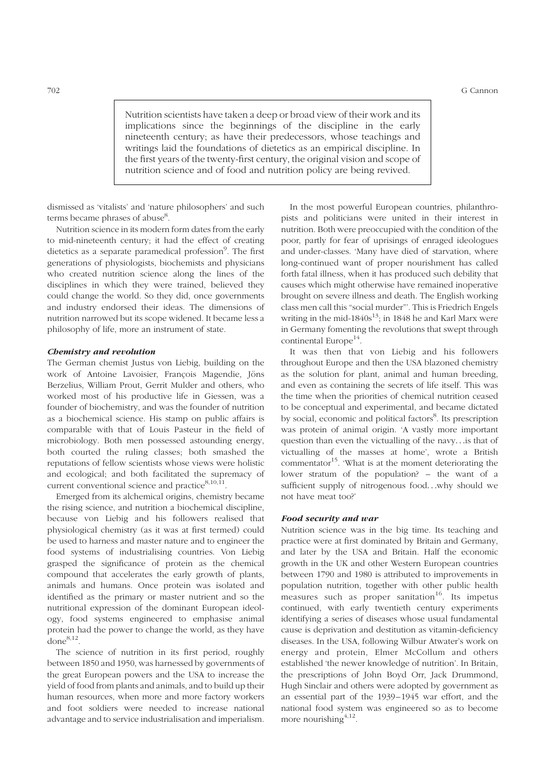Nutrition scientists have taken a deep or broad view of their work and its implications since the beginnings of the discipline in the early nineteenth century; as have their predecessors, whose teachings and writings laid the foundations of dietetics as an empirical discipline. In the first years of the twenty-first century, the original vision and scope of nutrition science and of food and nutrition policy are being revived.

dismissed as 'vitalists' and 'nature philosophers' and such terms became phrases of abuse<sup>8</sup>.

Nutrition science in its modern form dates from the early to mid-nineteenth century; it had the effect of creating dietetics as a separate paramedical profession<sup>9</sup>. The first generations of physiologists, biochemists and physicians who created nutrition science along the lines of the disciplines in which they were trained, believed they could change the world. So they did, once governments and industry endorsed their ideas. The dimensions of nutrition narrowed but its scope widened. It became less a philosophy of life, more an instrument of state.

### Chemistry and revolution

The German chemist Justus von Liebig, building on the work of Antoine Lavoisier, Francois Magendie, Jöns Berzelius, William Prout, Gerrit Mulder and others, who worked most of his productive life in Giessen, was a founder of biochemistry, and was the founder of nutrition as a biochemical science. His stamp on public affairs is comparable with that of Louis Pasteur in the field of microbiology. Both men possessed astounding energy, both courted the ruling classes; both smashed the reputations of fellow scientists whose views were holistic and ecological; and both facilitated the supremacy of current conventional science and practice $8,10,11$ .

Emerged from its alchemical origins, chemistry became the rising science, and nutrition a biochemical discipline, because von Liebig and his followers realised that physiological chemistry (as it was at first termed) could be used to harness and master nature and to engineer the food systems of industrialising countries. Von Liebig grasped the significance of protein as the chemical compound that accelerates the early growth of plants, animals and humans. Once protein was isolated and identified as the primary or master nutrient and so the nutritional expression of the dominant European ideology, food systems engineered to emphasise animal protein had the power to change the world, as they have  $done^{8,12}$ .

The science of nutrition in its first period, roughly between 1850 and 1950, was harnessed by governments of the great European powers and the USA to increase the yield of food from plants and animals, and to build up their human resources, when more and more factory workers and foot soldiers were needed to increase national advantage and to service industrialisation and imperialism.

In the most powerful European countries, philanthropists and politicians were united in their interest in nutrition. Both were preoccupied with the condition of the poor, partly for fear of uprisings of enraged ideologues and under-classes. 'Many have died of starvation, where long-continued want of proper nourishment has called forth fatal illness, when it has produced such debility that causes which might otherwise have remained inoperative brought on severe illness and death. The English working class men call this "social murder"'. This is Friedrich Engels writing in the mid- $1840s^{13}$ ; in 1848 he and Karl Marx were in Germany fomenting the revolutions that swept through continental Europe<sup>14</sup>.

It was then that von Liebig and his followers throughout Europe and then the USA blazoned chemistry as the solution for plant, animal and human breeding, and even as containing the secrets of life itself. This was the time when the priorities of chemical nutrition ceased to be conceptual and experimental, and became dictated by social, economic and political factors<sup>8</sup>. Its prescription was protein of animal origin. 'A vastly more important question than even the victualling of the navy...is that of victualling of the masses at home', wrote a British commentator<sup>15</sup>. What is at the moment deteriorating the lower stratum of the population? – the want of a sufficient supply of nitrogenous food...why should we not have meat too?'

### Food security and war

Nutrition science was in the big time. Its teaching and practice were at first dominated by Britain and Germany, and later by the USA and Britain. Half the economic growth in the UK and other Western European countries between 1790 and 1980 is attributed to improvements in population nutrition, together with other public health measures such as proper sanitation<sup>16</sup>. Its impetus continued, with early twentieth century experiments identifying a series of diseases whose usual fundamental cause is deprivation and destitution as vitamin-deficiency diseases. In the USA, following Wilbur Atwater's work on energy and protein, Elmer McCollum and others established 'the newer knowledge of nutrition'. In Britain, the prescriptions of John Boyd Orr, Jack Drummond, Hugh Sinclair and others were adopted by government as an essential part of the 1939–1945 war effort, and the national food system was engineered so as to become more nourishing  $4,12$ .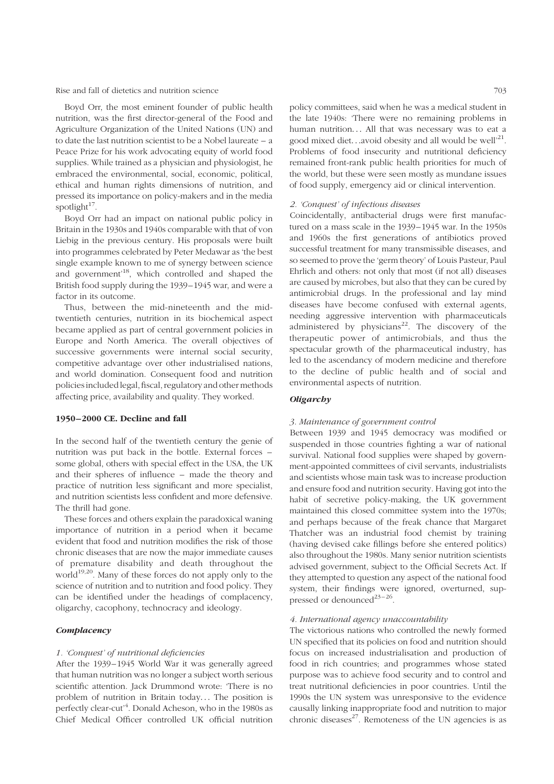Rise and fall of dietetics and nutrition science 703

Boyd Orr, the most eminent founder of public health nutrition, was the first director-general of the Food and Agriculture Organization of the United Nations (UN) and to date the last nutrition scientist to be a Nobel laureate – a Peace Prize for his work advocating equity of world food supplies. While trained as a physician and physiologist, he embraced the environmental, social, economic, political, ethical and human rights dimensions of nutrition, and pressed its importance on policy-makers and in the media spotlight $17$ .

Boyd Orr had an impact on national public policy in Britain in the 1930s and 1940s comparable with that of von Liebig in the previous century. His proposals were built into programmes celebrated by Peter Medawar as 'the best single example known to me of synergy between science and government'18, which controlled and shaped the British food supply during the 1939–1945 war, and were a factor in its outcome.

Thus, between the mid-nineteenth and the midtwentieth centuries, nutrition in its biochemical aspect became applied as part of central government policies in Europe and North America. The overall objectives of successive governments were internal social security, competitive advantage over other industrialised nations, and world domination. Consequent food and nutrition policies included legal, fiscal, regulatory and other methods affecting price, availability and quality. They worked.

## 1950–2000 CE. Decline and fall

In the second half of the twentieth century the genie of nutrition was put back in the bottle. External forces – some global, others with special effect in the USA, the UK and their spheres of influence – made the theory and practice of nutrition less significant and more specialist, and nutrition scientists less confident and more defensive. The thrill had gone.

These forces and others explain the paradoxical waning importance of nutrition in a period when it became evident that food and nutrition modifies the risk of those chronic diseases that are now the major immediate causes of premature disability and death throughout the world<sup>19,20</sup>. Many of these forces do not apply only to the science of nutrition and to nutrition and food policy. They can be identified under the headings of complacency, oligarchy, cacophony, technocracy and ideology.

# **Complacency**

### 1. 'Conquest' of nutritional deficiencies

After the 1939– 1945 World War it was generally agreed that human nutrition was no longer a subject worth serious scientific attention. Jack Drummond wrote: 'There is no problem of nutrition in Britain today... The position is perfectly clear-cut<sup>,4</sup>. Donald Acheson, who in the 1980s as Chief Medical Officer controlled UK official nutrition

policy committees, said when he was a medical student in the late 1940s: 'There were no remaining problems in human nutrition... All that was necessary was to eat a good mixed diet...avoid obesity and all would be well<sup>21</sup>. Problems of food insecurity and nutritional deficiency remained front-rank public health priorities for much of the world, but these were seen mostly as mundane issues of food supply, emergency aid or clinical intervention.

### 2. 'Conquest' of infectious diseases

Coincidentally, antibacterial drugs were first manufactured on a mass scale in the 1939 –1945 war. In the 1950s and 1960s the first generations of antibiotics proved successful treatment for many transmissible diseases, and so seemed to prove the 'germ theory' of Louis Pasteur, Paul Ehrlich and others: not only that most (if not all) diseases are caused by microbes, but also that they can be cured by antimicrobial drugs. In the professional and lay mind diseases have become confused with external agents, needing aggressive intervention with pharmaceuticals administered by physicians $2^2$ . The discovery of the therapeutic power of antimicrobials, and thus the spectacular growth of the pharmaceutical industry, has led to the ascendancy of modern medicine and therefore to the decline of public health and of social and environmental aspects of nutrition.

### **Oligarchy**

## 3. Maintenance of government control

Between 1939 and 1945 democracy was modified or suspended in those countries fighting a war of national survival. National food supplies were shaped by government-appointed committees of civil servants, industrialists and scientists whose main task was to increase production and ensure food and nutrition security. Having got into the habit of secretive policy-making, the UK government maintained this closed committee system into the 1970s; and perhaps because of the freak chance that Margaret Thatcher was an industrial food chemist by training (having devised cake fillings before she entered politics) also throughout the 1980s. Many senior nutrition scientists advised government, subject to the Official Secrets Act. If they attempted to question any aspect of the national food system, their findings were ignored, overturned, suppressed or denounced<sup>23-26</sup>.

### 4. International agency unaccountability

The victorious nations who controlled the newly formed UN specified that its policies on food and nutrition should focus on increased industrialisation and production of food in rich countries; and programmes whose stated purpose was to achieve food security and to control and treat nutritional deficiencies in poor countries. Until the 1990s the UN system was unresponsive to the evidence causally linking inappropriate food and nutrition to major chronic diseases $^{27}$ . Remoteness of the UN agencies is as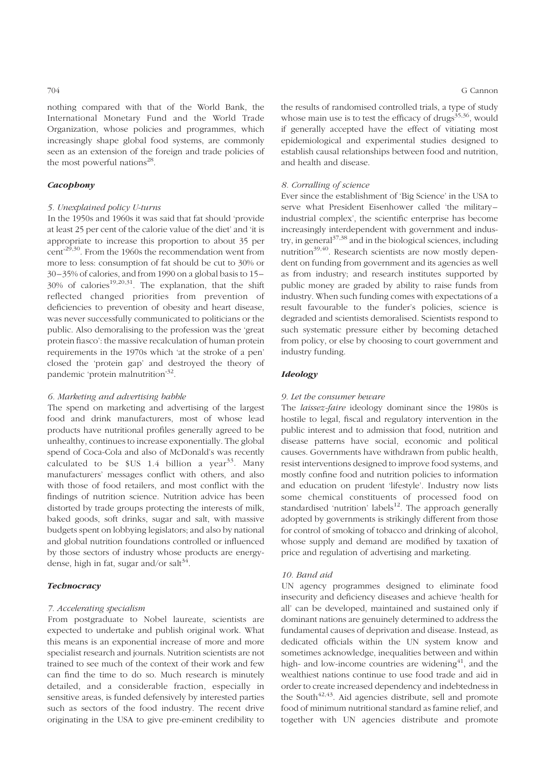nothing compared with that of the World Bank, the International Monetary Fund and the World Trade Organization, whose policies and programmes, which increasingly shape global food systems, are commonly seen as an extension of the foreign and trade policies of the most powerful nations $^{28}$ .

### **Cacophony**

## 5. Unexplained policy U-turns

In the 1950s and 1960s it was said that fat should 'provide at least 25 per cent of the calorie value of the diet' and 'it is appropriate to increase this proportion to about 35 per cent'29,30. From the 1960s the recommendation went from more to less: consumption of fat should be cut to 30% or 30 –35% of calories, and from 1990 on a global basis to 15–  $30\%$  of calories<sup>19,20,31</sup>. The explanation, that the shift reflected changed priorities from prevention of deficiencies to prevention of obesity and heart disease, was never successfully communicated to politicians or the public. Also demoralising to the profession was the 'great protein fiasco': the massive recalculation of human protein requirements in the 1970s which 'at the stroke of a pen' closed the 'protein gap' and destroyed the theory of pandemic 'protein malnutrition'32.

### 6. Marketing and advertising babble

The spend on marketing and advertising of the largest food and drink manufacturers, most of whose lead products have nutritional profiles generally agreed to be unhealthy, continues to increase exponentially. The global spend of Coca-Cola and also of McDonald's was recently calculated to be  $US$  1.4 billion a year<sup>33</sup>. Many manufacturers' messages conflict with others, and also with those of food retailers, and most conflict with the findings of nutrition science. Nutrition advice has been distorted by trade groups protecting the interests of milk, baked goods, soft drinks, sugar and salt, with massive budgets spent on lobbying legislators; and also by national and global nutrition foundations controlled or influenced by those sectors of industry whose products are energydense, high in fat, sugar and/or salt<sup>34</sup>.

# **Technocracy**

# 7. Accelerating specialism

From postgraduate to Nobel laureate, scientists are expected to undertake and publish original work. What this means is an exponential increase of more and more specialist research and journals. Nutrition scientists are not trained to see much of the context of their work and few can find the time to do so. Much research is minutely detailed, and a considerable fraction, especially in sensitive areas, is funded defensively by interested parties such as sectors of the food industry. The recent drive originating in the USA to give pre-eminent credibility to the results of randomised controlled trials, a type of study whose main use is to test the efficacy of drugs $35,36$ , would if generally accepted have the effect of vitiating most epidemiological and experimental studies designed to establish causal relationships between food and nutrition, and health and disease.

### 8. Corralling of science

Ever since the establishment of 'Big Science' in the USA to serve what President Eisenhower called 'the military – industrial complex', the scientific enterprise has become increasingly interdependent with government and industry, in general $37,38$  and in the biological sciences, including nutrition $39,40$ . Research scientists are now mostly dependent on funding from government and its agencies as well as from industry; and research institutes supported by public money are graded by ability to raise funds from industry. When such funding comes with expectations of a result favourable to the funder's policies, science is degraded and scientists demoralised. Scientists respond to such systematic pressure either by becoming detached from policy, or else by choosing to court government and industry funding.

# Ideology

### 9. Let the consumer beware

The laissez-faire ideology dominant since the 1980s is hostile to legal, fiscal and regulatory intervention in the public interest and to admission that food, nutrition and disease patterns have social, economic and political causes. Governments have withdrawn from public health, resist interventions designed to improve food systems, and mostly confine food and nutrition policies to information and education on prudent 'lifestyle'. Industry now lists some chemical constituents of processed food on standardised 'nutrition' labels $12$ . The approach generally adopted by governments is strikingly different from those for control of smoking of tobacco and drinking of alcohol, whose supply and demand are modified by taxation of price and regulation of advertising and marketing.

### 10. Band aid

UN agency programmes designed to eliminate food insecurity and deficiency diseases and achieve 'health for all' can be developed, maintained and sustained only if dominant nations are genuinely determined to address the fundamental causes of deprivation and disease. Instead, as dedicated officials within the UN system know and sometimes acknowledge, inequalities between and within high- and low-income countries are widening $41$ , and the wealthiest nations continue to use food trade and aid in order to create increased dependency and indebtedness in the South $42,43$ . Aid agencies distribute, sell and promote food of minimum nutritional standard as famine relief, and together with UN agencies distribute and promote